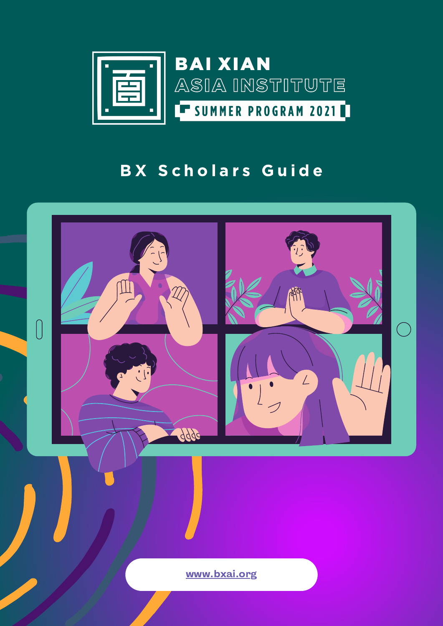

## **BAI XIAN** ASIA INSTITUTE ET SUMMER PROGRAM 2021

### BX Scholars Guide



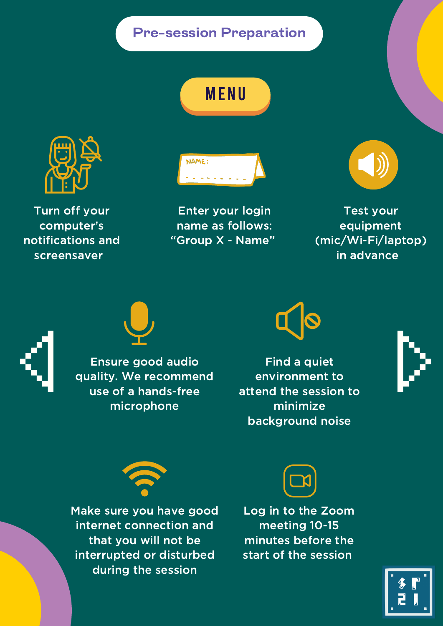#### Pre-session Preparation





Turn off your computer's notifications and screensaver.



Test your equipment (mic/Wi-Fi/laptop) in advance





Enter your login name as follows: "Group X - Name"



Find a quiet environment to attend the session to minimize background noise





Ensure good audio quality. We recommend use of a hands-free microphone







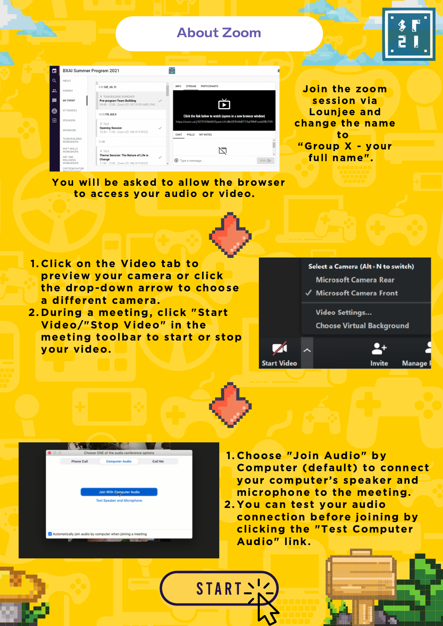#### About Zoom

START .



| 茴                       |                                                       | <b>BXAI Summer Program 2021</b><br>臣                                                                                                                                   |  |
|-------------------------|-------------------------------------------------------|------------------------------------------------------------------------------------------------------------------------------------------------------------------------|--|
| $\alpha$                | <b>ABOUT</b>                                          | hş                                                                                                                                                                     |  |
| $\mathbf{r}$            | <b>AGENDA</b>                                         | <b>STREAM</b><br><b>INFO</b><br><b>PARTICIPANTS</b><br>9:00 SAT, JUL 31                                                                                                |  |
|                         | <b>MY EVENT</b>                                       | <b>V</b> TEAM BUILDING WORKSHOP<br><b>Pre-program Team Building</b><br>09:45 - 12:00, Zoom (ID: 927 0109 6450   PW:                                                    |  |
| 8                       | <b>ATTENDEES</b>                                      | 10:00 FRI, AUG 6<br>Click the link below to watch (opens in a new browser window)                                                                                      |  |
| $\overline{\mathbf{B}}$ | <b>SPEAKERS</b>                                       | https://zoom.us/j/92701096450?pwd=UHJBbGFBVitMSTY0aFRINFowb0RlUT09<br><b>J</b> TALK                                                                                    |  |
|                         | <b>SPONSORS</b>                                       | <b>Opening Session</b><br>$\checkmark$<br>10:30 - 11:00, Zoom (ID: 966 819 0523)<br><b>CHAT</b><br><b>POLLS</b><br><b>MY NOTES</b>                                     |  |
|                         | <b>TEAM BUILDING</b><br><b>WORKSHOPS</b>              | 11:00                                                                                                                                                                  |  |
|                         | <b>SOFT SKILLS</b><br><b>WORKSHOPS</b>                | <b>U</b> TALK                                                                                                                                                          |  |
|                         | <b>ART AND</b><br><b>WELLNESS</b><br><b>WORKSHOPS</b> | Theme Session: The Nature of Life is<br>$\checkmark$<br>Change<br>$\bigoplus$ Type a message<br>SEND<br>11:00 - 12:00, Zoom (ID: 966 819 0523)<br>$\blacktriangledown$ |  |
|                         | COFFEE&CHAT(BY<br><b>DECICTDATIONI</b>                |                                                                                                                                                                        |  |

Join the zoom session via Lounjee and change the name to "Group X - your full name".

You will be asked to allow the browser to access your audio or video.

2. During a meeting, click "Start Video/"Stop Video" in the

Select a Camera (Alt+N to switch)

**Microsoft Camera Rear** 

√ Microsoft Camera Front

**Video Settings...** 

**Choose Virtual Background** 



1. Choose "Join Audio" by Computer (default) to connect your computer's speaker and microphone to the meeting. 2. You can test your audio connection before joining by clicking the "Test Computer Audio" link.

#### meeting toolbar to start or stop your video.

| <b>Start Video</b> |  | <b>Invite</b> Manage F |
|--------------------|--|------------------------|

| O <sub>0</sub> |                   | Choose ONE of the audio conference options                  |         |
|----------------|-------------------|-------------------------------------------------------------|---------|
|                | <b>Phone Call</b> | <b>Computer Audio</b>                                       | Call Me |
|                |                   | <b>Join With Computer Audio</b>                             |         |
|                |                   | <b>Test Speaker and Microphone</b>                          |         |
|                |                   |                                                             |         |
|                |                   | Automatically join audio by computer when joining a meeting |         |